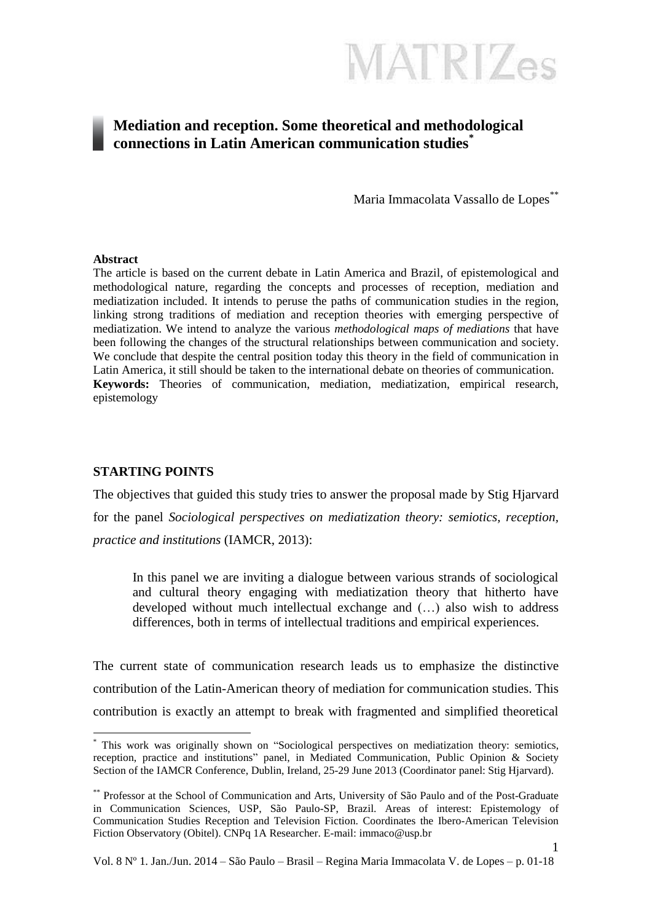

### **Mediation and reception. Some theoretical and methodological connections in Latin American communication studies\***

Maria Immacolata Vassallo de Lopes\*\*

#### **Abstract**

The article is based on the current debate in Latin America and Brazil, of epistemological and methodological nature, regarding the concepts and processes of reception, mediation and mediatization included. It intends to peruse the paths of communication studies in the region, linking strong traditions of mediation and reception theories with emerging perspective of mediatization. We intend to analyze the various *methodological maps of mediations* that have been following the changes of the structural relationships between communication and society. We conclude that despite the central position today this theory in the field of communication in Latin America, it still should be taken to the international debate on theories of communication. **Keywords:** Theories of communication, mediation, mediatization, empirical research, epistemology

#### **STARTING POINTS**

1

The objectives that guided this study tries to answer the proposal made by Stig Hjarvard for the panel *Sociological perspectives on mediatization theory: semiotics, reception, practice and institutions* (IAMCR, 2013):

In this panel we are inviting a dialogue between various strands of sociological and cultural theory engaging with mediatization theory that hitherto have developed without much intellectual exchange and (…) also wish to address differences, both in terms of intellectual traditions and empirical experiences.

The current state of communication research leads us to emphasize the distinctive contribution of the Latin-American theory of mediation for communication studies. This contribution is exactly an attempt to break with fragmented and simplified theoretical

This work was originally shown on "Sociological perspectives on mediatization theory: semiotics, reception, practice and institutions" panel, in Mediated Communication, Public Opinion & Society Section of the IAMCR Conference, Dublin, Ireland, 25-29 June 2013 (Coordinator panel: Stig Hjarvard).

<sup>\*\*</sup> Professor at the School of Communication and Arts, University of São Paulo and of the Post-Graduate in Communication Sciences, USP, São Paulo-SP, Brazil. Areas of interest: Epistemology of Communication Studies Reception and Television Fiction. Coordinates the Ibero-American Television Fiction Observatory (Obitel). CNPq 1A Researcher. E-mail: immaco@usp.br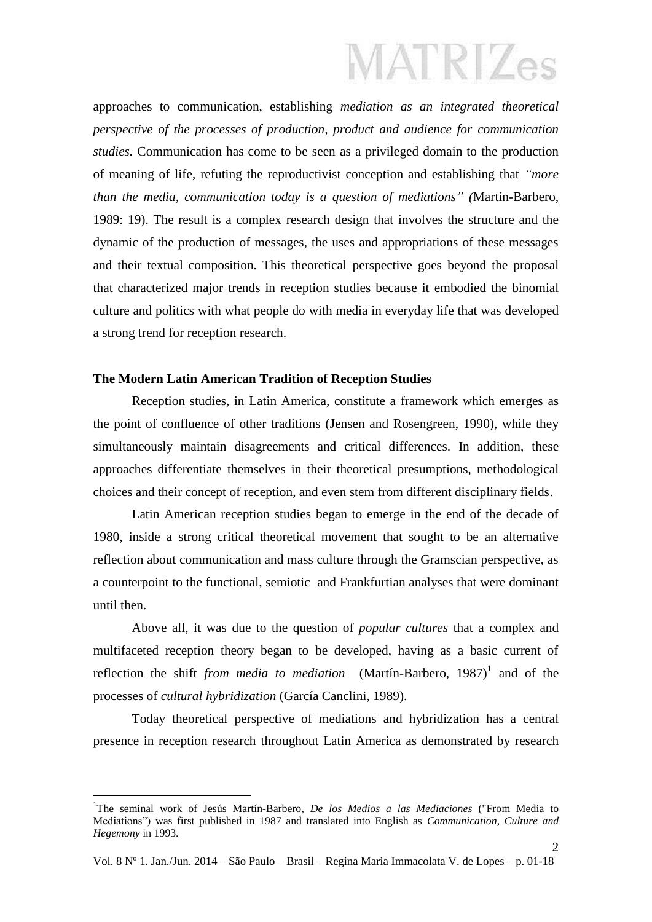approaches to communication, establishing *mediation as an integrated theoretical perspective of the processes of production, product and audience for communication studies.* Communication has come to be seen as a privileged domain to the production of meaning of life, refuting the reproductivist conception and establishing that *"more than the media, communication today is a question of mediations" (*Martín-Barbero, 1989: 19). The result is a complex research design that involves the structure and the dynamic of the production of messages, the uses and appropriations of these messages and their textual composition. This theoretical perspective goes beyond the proposal that characterized major trends in reception studies because it embodied the binomial culture and politics with what people do with media in everyday life that was developed a strong trend for reception research.

#### **The Modern Latin American Tradition of Reception Studies**

Reception studies, in Latin America, constitute a framework which emerges as the point of confluence of other traditions (Jensen and Rosengreen, 1990), while they simultaneously maintain disagreements and critical differences. In addition, these approaches differentiate themselves in their theoretical presumptions, methodological choices and their concept of reception, and even stem from different disciplinary fields.

Latin American reception studies began to emerge in the end of the decade of 1980, inside a strong critical theoretical movement that sought to be an alternative reflection about communication and mass culture through the Gramscian perspective, as a counterpoint to the functional, semiotic and Frankfurtian analyses that were dominant until then.

Above all, it was due to the question of *popular cultures* that a complex and multifaceted reception theory began to be developed, having as a basic current of reflection the shift *from media to mediation* (Martín-Barbero, 1987)<sup>1</sup> and of the processes of *cultural hybridization* (García Canclini, 1989).

Today theoretical perspective of mediations and hybridization has a central presence in reception research throughout Latin America as demonstrated by research

<u>.</u>

<sup>1</sup>The seminal work of Jesús Martín-Barbero*, De los Medios a las Mediaciones* ("From Media to Mediations") was first published in 1987 and translated into English as *Communication, Culture and Hegemony* in 1993.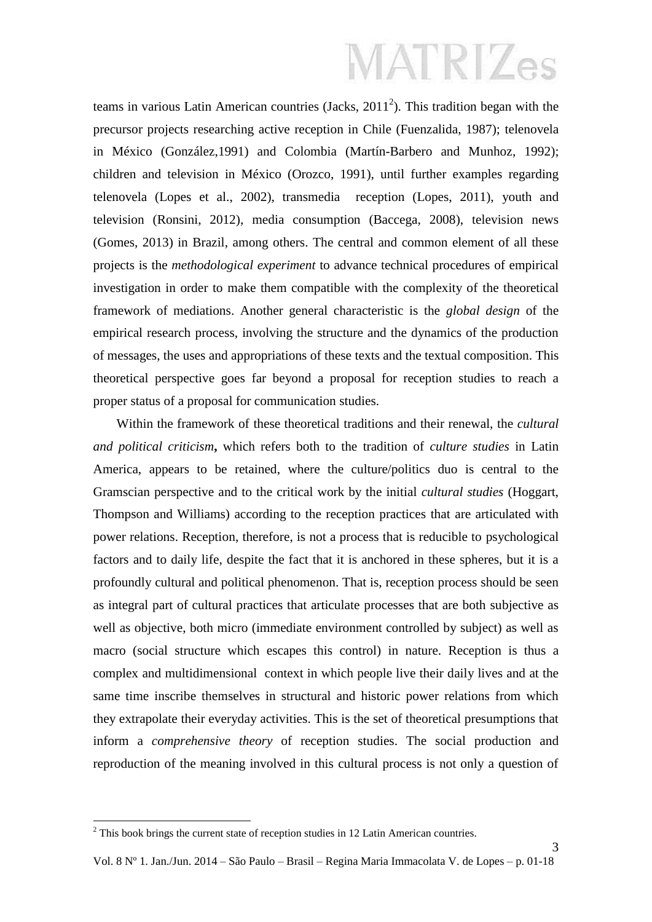teams in various Latin American countries (Jacks,  $2011<sup>2</sup>$ ). This tradition began with the precursor projects researching active reception in Chile (Fuenzalida, 1987); telenovela in México (González,1991) and Colombia (Martín-Barbero and Munhoz, 1992); children and television in México (Orozco, 1991), until further examples regarding telenovela (Lopes et al., 2002), transmedia reception (Lopes, 2011), youth and television (Ronsini, 2012), media consumption (Baccega, 2008), television news (Gomes, 2013) in Brazil, among others. The central and common element of all these projects is the *methodological experiment* to advance technical procedures of empirical investigation in order to make them compatible with the complexity of the theoretical framework of mediations. Another general characteristic is the *global design* of the empirical research process, involving the structure and the dynamics of the production of messages, the uses and appropriations of these texts and the textual composition. This theoretical perspective goes far beyond a proposal for reception studies to reach a proper status of a proposal for communication studies.

Within the framework of these theoretical traditions and their renewal, the *cultural and political criticism***,** which refers both to the tradition of *culture studies* in Latin America, appears to be retained, where the culture/politics duo is central to the Gramscian perspective and to the critical work by the initial *cultural studies* (Hoggart, Thompson and Williams) according to the reception practices that are articulated with power relations. Reception, therefore, is not a process that is reducible to psychological factors and to daily life, despite the fact that it is anchored in these spheres, but it is a profoundly cultural and political phenomenon. That is, reception process should be seen as integral part of cultural practices that articulate processes that are both subjective as well as objective, both micro (immediate environment controlled by subject) as well as macro (social structure which escapes this control) in nature. Reception is thus a complex and multidimensional context in which people live their daily lives and at the same time inscribe themselves in structural and historic power relations from which they extrapolate their everyday activities. This is the set of theoretical presumptions that inform a *comprehensive theory* of reception studies. The social production and reproduction of the meaning involved in this cultural process is not only a question of

1

 $2$  This book brings the current state of reception studies in 12 Latin American countries.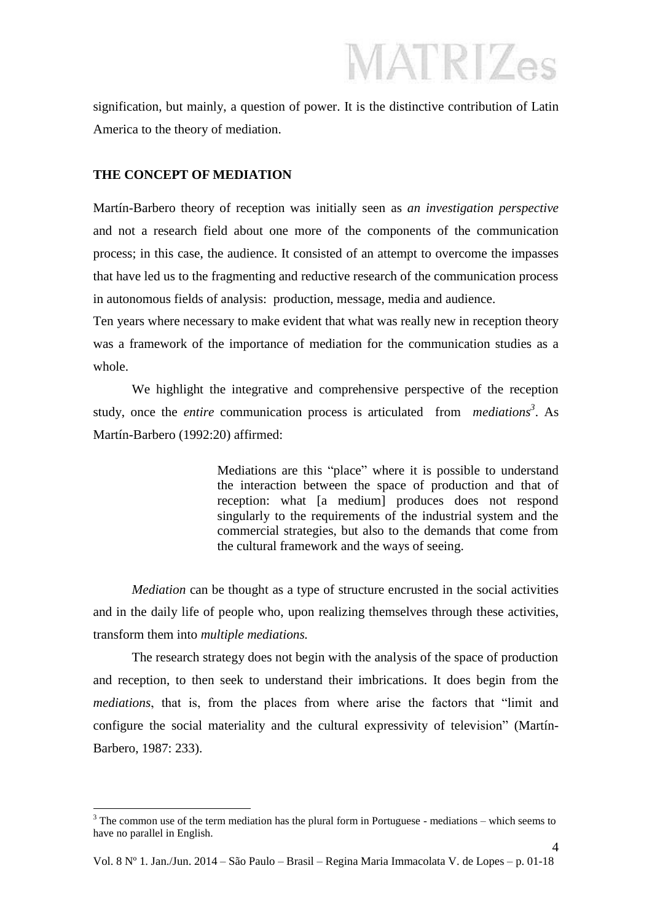signification, but mainly, a question of power. It is the distinctive contribution of Latin America to the theory of mediation.

#### **THE CONCEPT OF MEDIATION**

Martín-Barbero theory of reception was initially seen as *an investigation perspective* and not a research field about one more of the components of the communication process; in this case, the audience. It consisted of an attempt to overcome the impasses that have led us to the fragmenting and reductive research of the communication process in autonomous fields of analysis: production, message, media and audience.

Ten years where necessary to make evident that what was really new in reception theory was a framework of the importance of mediation for the communication studies as a whole.

We highlight the integrative and comprehensive perspective of the reception study, once the *entire* communication process is articulated from *mediations<sup>3</sup>* . As Martín-Barbero (1992:20) affirmed:

> Mediations are this "place" where it is possible to understand the interaction between the space of production and that of reception: what [a medium] produces does not respond singularly to the requirements of the industrial system and the commercial strategies, but also to the demands that come from the cultural framework and the ways of seeing.

*Mediation* can be thought as a type of structure encrusted in the social activities and in the daily life of people who, upon realizing themselves through these activities, transform them into *multiple mediations.*

The research strategy does not begin with the analysis of the space of production and reception, to then seek to understand their imbrications. It does begin from the *mediations*, that is, from the places from where arise the factors that "limit and configure the social materiality and the cultural expressivity of television" (Martín-Barbero, 1987: 233).

<sup>1</sup>  $3$  The common use of the term mediation has the plural form in Portuguese - mediations – which seems to have no parallel in English.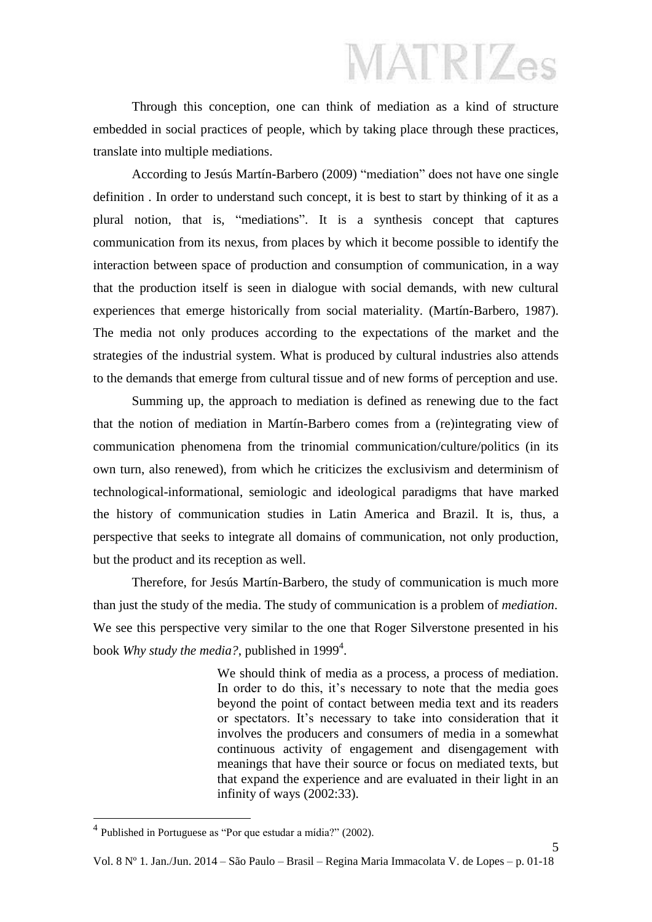Through this conception, one can think of mediation as a kind of structure embedded in social practices of people, which by taking place through these practices, translate into multiple mediations.

According to Jesús Martín-Barbero (2009) "mediation" does not have one single definition . In order to understand such concept, it is best to start by thinking of it as a plural notion, that is, "mediations". It is a synthesis concept that captures communication from its nexus, from places by which it become possible to identify the interaction between space of production and consumption of communication, in a way that the production itself is seen in dialogue with social demands, with new cultural experiences that emerge historically from social materiality. (Martín-Barbero, 1987). The media not only produces according to the expectations of the market and the strategies of the industrial system. What is produced by cultural industries also attends to the demands that emerge from cultural tissue and of new forms of perception and use.

Summing up, the approach to mediation is defined as renewing due to the fact that the notion of mediation in Martín-Barbero comes from a (re)integrating view of communication phenomena from the trinomial communication/culture/politics (in its own turn, also renewed), from which he criticizes the exclusivism and determinism of technological-informational, semiologic and ideological paradigms that have marked the history of communication studies in Latin America and Brazil. It is, thus, a perspective that seeks to integrate all domains of communication, not only production, but the product and its reception as well.

Therefore, for Jesús Martín-Barbero, the study of communication is much more than just the study of the media. The study of communication is a problem of *mediation*. We see this perspective very similar to the one that Roger Silverstone presented in his book *Why study the media?*, published in 1999<sup>4</sup>.

> We should think of media as a process, a process of mediation. In order to do this, it's necessary to note that the media goes beyond the point of contact between media text and its readers or spectators. It's necessary to take into consideration that it involves the producers and consumers of media in a somewhat continuous activity of engagement and disengagement with meanings that have their source or focus on mediated texts, but that expand the experience and are evaluated in their light in an infinity of ways (2002:33).

> > 5

<sup>4</sup> Published in Portuguese as "Por que estudar a mídia?" (2002).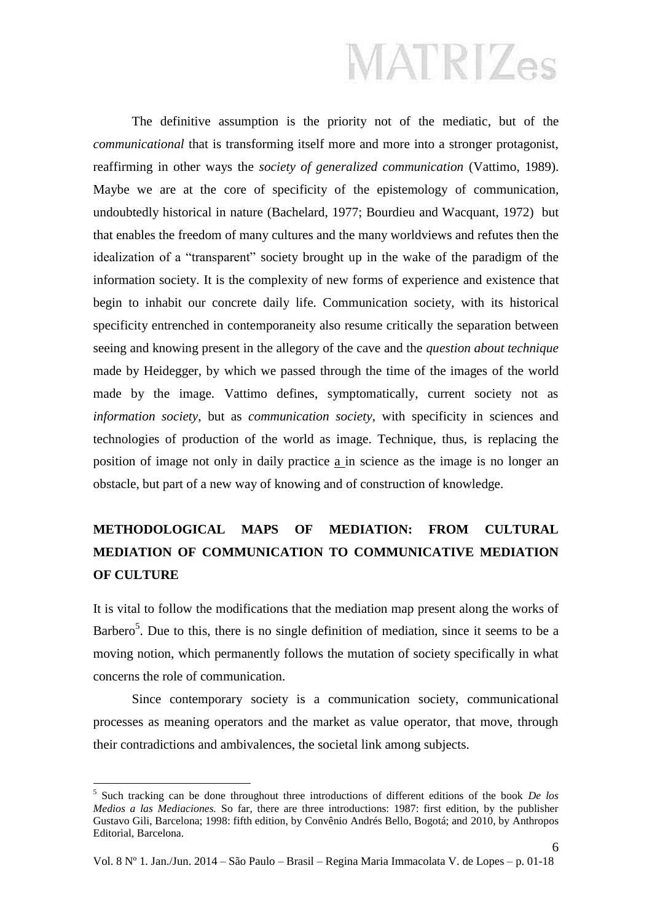The definitive assumption is the priority not of the mediatic, but of the *communicational* that is transforming itself more and more into a stronger protagonist, reaffirming in other ways the *society of generalized communication* (Vattimo, 1989). Maybe we are at the core of specificity of the epistemology of communication, undoubtedly historical in nature (Bachelard, 1977; Bourdieu and Wacquant, 1972) but that enables the freedom of many cultures and the many worldviews and refutes then the idealization of a "transparent" society brought up in the wake of the paradigm of the information society. It is the complexity of new forms of experience and existence that begin to inhabit our concrete daily life. Communication society, with its historical specificity entrenched in contemporaneity also resume critically the separation between seeing and knowing present in the allegory of the cave and the *question about technique* made by Heidegger, by which we passed through the time of the images of the world made by the image. Vattimo defines, symptomatically, current society not as *information society*, but as *communication society*, with specificity in sciences and technologies of production of the world as image. Technique, thus, is replacing the position of image not only in daily practice a in science as the image is no longer an obstacle, but part of a new way of knowing and of construction of knowledge.

### **METHODOLOGICAL MAPS OF MEDIATION: FROM CULTURAL MEDIATION OF COMMUNICATION TO COMMUNICATIVE MEDIATION OF CULTURE**

It is vital to follow the modifications that the mediation map present along the works of Barbero<sup>5</sup>. Due to this, there is no single definition of mediation, since it seems to be a moving notion, which permanently follows the mutation of society specifically in what concerns the role of communication.

Since contemporary society is a communication society, communicational processes as meaning operators and the market as value operator, that move, through their contradictions and ambivalences, the societal link among subjects.

<sup>5</sup> Such tracking can be done throughout three introductions of different editions of the book *De los Medios a las Mediaciones.* So far, there are three introductions: 1987: first edition, by the publisher Gustavo Gili, Barcelona; 1998: fifth edition, by Convênio Andrés Bello, Bogotá; and 2010, by Anthropos Editorial, Barcelona.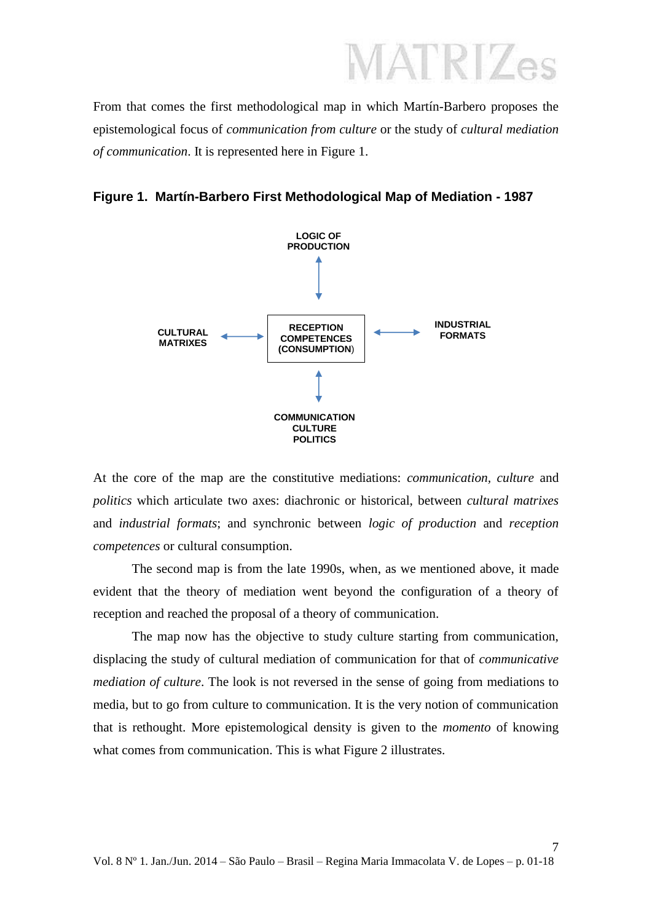From that comes the first methodological map in which Martín-Barbero proposes the epistemological focus of *communication from culture* or the study of *cultural mediation of communication*. It is represented here in Figure 1.





At the core of the map are the constitutive mediations: *communication, culture* and *politics* which articulate two axes: diachronic or historical, between *cultural matrixes* and *industrial formats*; and synchronic between *logic of production* and *reception competences* or cultural consumption.

The second map is from the late 1990s, when, as we mentioned above, it made evident that the theory of mediation went beyond the configuration of a theory of reception and reached the proposal of a theory of communication.

The map now has the objective to study culture starting from communication, displacing the study of cultural mediation of communication for that of *communicative mediation of culture*. The look is not reversed in the sense of going from mediations to media, but to go from culture to communication. It is the very notion of communication that is rethought. More epistemological density is given to the *momento* of knowing what comes from communication. This is what Figure 2 illustrates.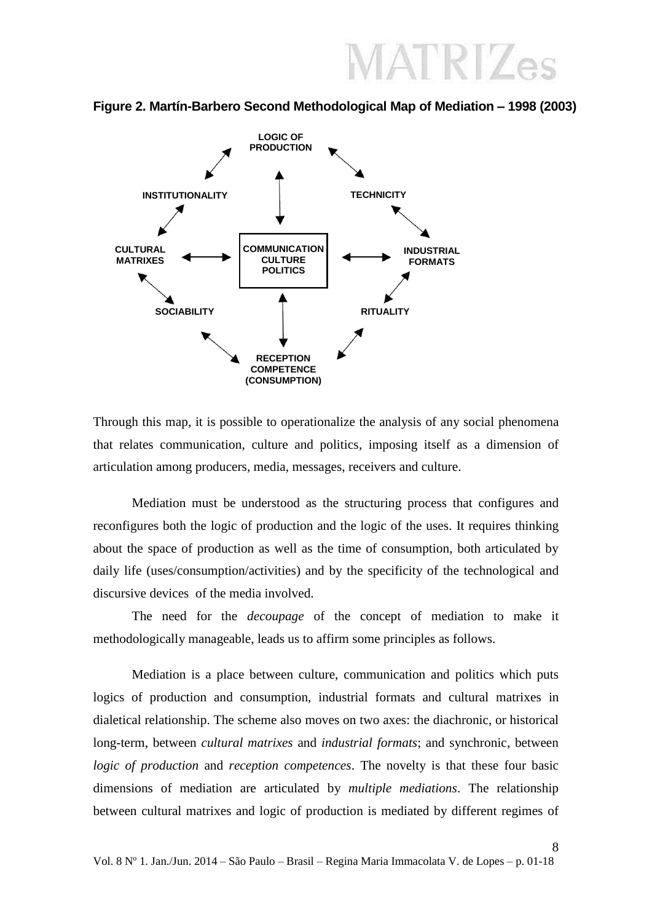**Figure 2. Martín-Barbero Second Methodological Map of Mediation – 1998 (2003)**



Through this map, it is possible to operationalize the analysis of any social phenomena that relates communication, culture and politics, imposing itself as a dimension of articulation among producers, media, messages, receivers and culture.

Mediation must be understood as the structuring process that configures and reconfigures both the logic of production and the logic of the uses. It requires thinking about the space of production as well as the time of consumption, both articulated by daily life (uses/consumption/activities) and by the specificity of the technological and discursive devices of the media involved.

The need for the *decoupage* of the concept of mediation to make it methodologically manageable, leads us to affirm some principles as follows.

Mediation is a place between culture, communication and politics which puts logics of production and consumption, industrial formats and cultural matrixes in dialetical relationship. The scheme also moves on two axes: the diachronic, or historical long-term, between *cultural matrixes* and *industrial formats*; and synchronic, between *logic of production* and *reception competences*. The novelty is that these four basic dimensions of mediation are articulated by *multiple mediations*. The relationship between cultural matrixes and logic of production is mediated by different regimes of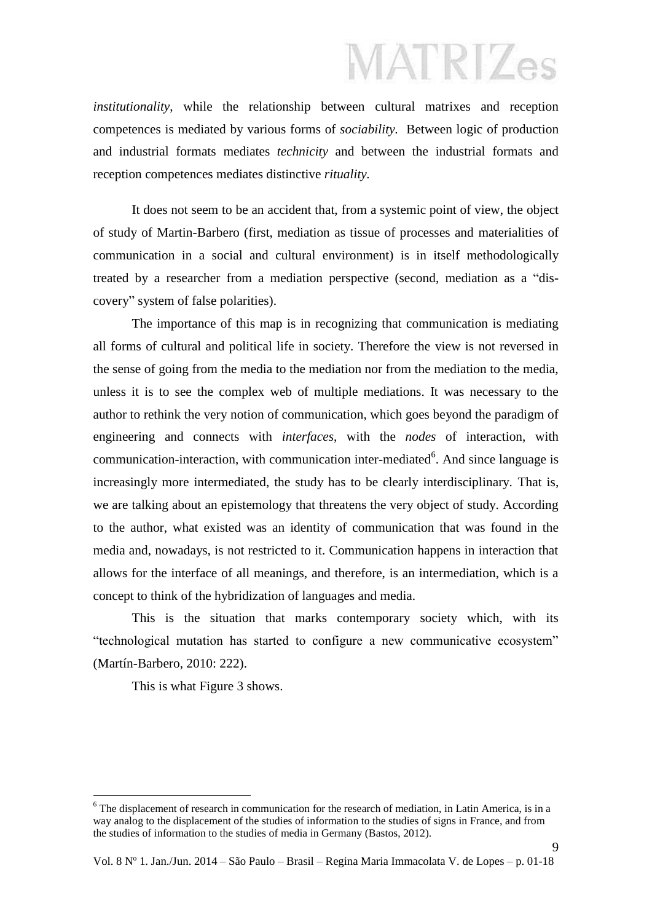*institutionality*, while the relationship between cultural matrixes and reception competences is mediated by various forms of *sociability.* Between logic of production and industrial formats mediates *technicity* and between the industrial formats and reception competences mediates distinctive *rituality.*

It does not seem to be an accident that, from a systemic point of view, the object of study of Martin-Barbero (first, mediation as tissue of processes and materialities of communication in a social and cultural environment) is in itself methodologically treated by a researcher from a mediation perspective (second, mediation as a "discovery" system of false polarities).

The importance of this map is in recognizing that communication is mediating all forms of cultural and political life in society. Therefore the view is not reversed in the sense of going from the media to the mediation nor from the mediation to the media, unless it is to see the complex web of multiple mediations. It was necessary to the author to rethink the very notion of communication, which goes beyond the paradigm of engineering and connects with *interfaces*, with the *nodes* of interaction, with communication-interaction, with communication inter-mediated $6$ . And since language is increasingly more intermediated, the study has to be clearly interdisciplinary. That is, we are talking about an epistemology that threatens the very object of study. According to the author, what existed was an identity of communication that was found in the media and, nowadays, is not restricted to it. Communication happens in interaction that allows for the interface of all meanings, and therefore, is an intermediation, which is a concept to think of the hybridization of languages and media.

This is the situation that marks contemporary society which, with its "technological mutation has started to configure a new communicative ecosystem" (Martín-Barbero, 2010: 222).

This is what Figure 3 shows.

<u>.</u>

 $6$  The displacement of research in communication for the research of mediation, in Latin America, is in a way analog to the displacement of the studies of information to the studies of signs in France, and from the studies of information to the studies of media in Germany (Bastos, 2012).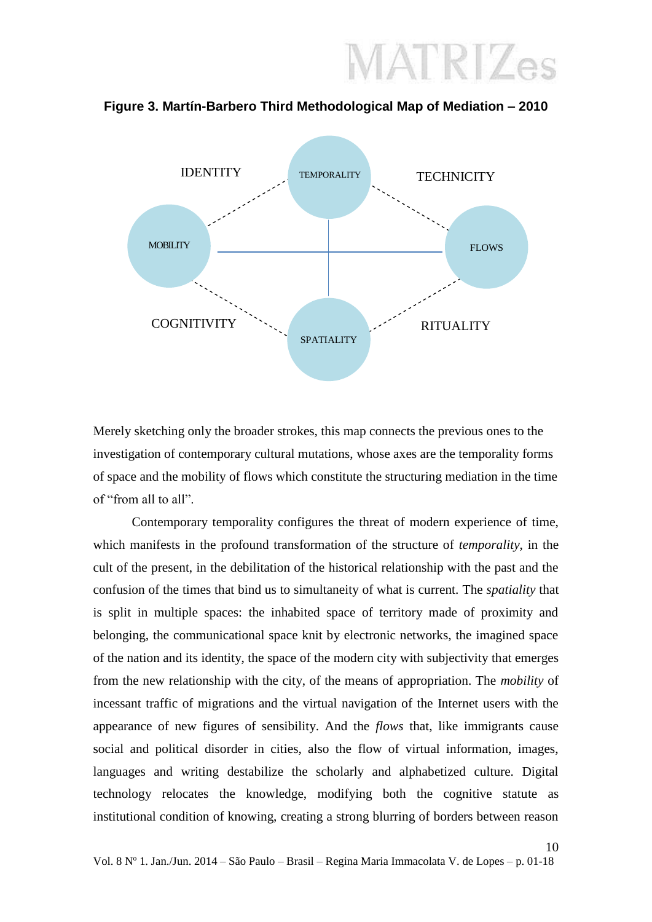

**Figure 3. Martín-Barbero Third Methodological Map of Mediation – 2010**

Merely sketching only the broader strokes, this map connects the previous ones to the investigation of contemporary cultural mutations, whose axes are the temporality forms of space and the mobility of flows which constitute the structuring mediation in the time of "from all to all".

Contemporary temporality configures the threat of modern experience of time, which manifests in the profound transformation of the structure of *temporality*, in the cult of the present, in the debilitation of the historical relationship with the past and the confusion of the times that bind us to simultaneity of what is current. The *spatiality* that is split in multiple spaces: the inhabited space of territory made of proximity and belonging, the communicational space knit by electronic networks, the imagined space of the nation and its identity, the space of the modern city with subjectivity that emerges from the new relationship with the city, of the means of appropriation. The *mobility* of incessant traffic of migrations and the virtual navigation of the Internet users with the appearance of new figures of sensibility. And the *flows* that, like immigrants cause social and political disorder in cities, also the flow of virtual information, images, languages and writing destabilize the scholarly and alphabetized culture. Digital technology relocates the knowledge, modifying both the cognitive statute as institutional condition of knowing, creating a strong blurring of borders between reason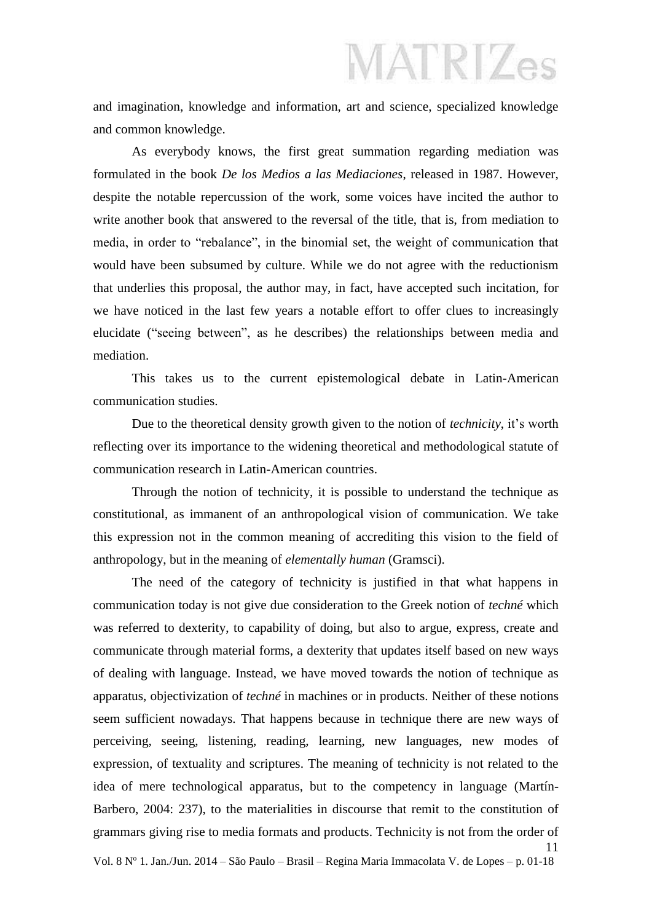and imagination, knowledge and information, art and science, specialized knowledge and common knowledge.

As everybody knows, the first great summation regarding mediation was formulated in the book *De los Medios a las Mediaciones*, released in 1987. However, despite the notable repercussion of the work, some voices have incited the author to write another book that answered to the reversal of the title, that is, from mediation to media, in order to "rebalance", in the binomial set, the weight of communication that would have been subsumed by culture. While we do not agree with the reductionism that underlies this proposal, the author may, in fact, have accepted such incitation, for we have noticed in the last few years a notable effort to offer clues to increasingly elucidate ("seeing between", as he describes) the relationships between media and mediation.

This takes us to the current epistemological debate in Latin-American communication studies.

Due to the theoretical density growth given to the notion of *technicity*, it's worth reflecting over its importance to the widening theoretical and methodological statute of communication research in Latin-American countries.

Through the notion of technicity, it is possible to understand the technique as constitutional, as immanent of an anthropological vision of communication. We take this expression not in the common meaning of accrediting this vision to the field of anthropology, but in the meaning of *elementally human* (Gramsci).

The need of the category of technicity is justified in that what happens in communication today is not give due consideration to the Greek notion of *techné* which was referred to dexterity, to capability of doing, but also to argue, express, create and communicate through material forms, a dexterity that updates itself based on new ways of dealing with language. Instead, we have moved towards the notion of technique as apparatus, objectivization of *techné* in machines or in products. Neither of these notions seem sufficient nowadays. That happens because in technique there are new ways of perceiving, seeing, listening, reading, learning, new languages, new modes of expression, of textuality and scriptures. The meaning of technicity is not related to the idea of mere technological apparatus, but to the competency in language (Martín-Barbero, 2004: 237), to the materialities in discourse that remit to the constitution of grammars giving rise to media formats and products. Technicity is not from the order of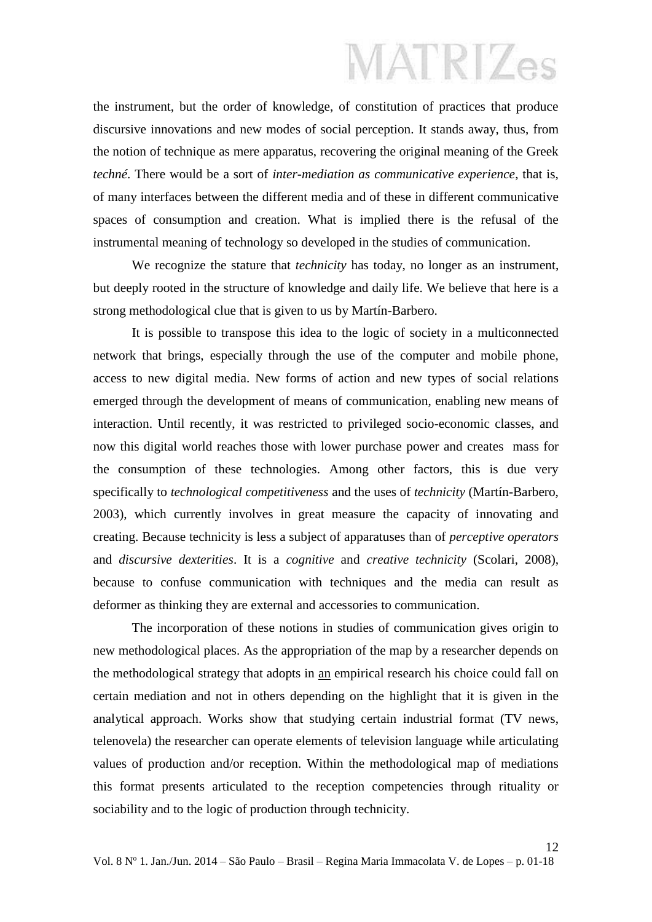the instrument, but the order of knowledge, of constitution of practices that produce discursive innovations and new modes of social perception. It stands away, thus, from the notion of technique as mere apparatus, recovering the original meaning of the Greek *techné*. There would be a sort of *inter-mediation as communicative experience*, that is, of many interfaces between the different media and of these in different communicative spaces of consumption and creation. What is implied there is the refusal of the instrumental meaning of technology so developed in the studies of communication.

We recognize the stature that *technicity* has today, no longer as an instrument, but deeply rooted in the structure of knowledge and daily life. We believe that here is a strong methodological clue that is given to us by Martín-Barbero.

It is possible to transpose this idea to the logic of society in a multiconnected network that brings, especially through the use of the computer and mobile phone, access to new digital media. New forms of action and new types of social relations emerged through the development of means of communication, enabling new means of interaction. Until recently, it was restricted to privileged socio-economic classes, and now this digital world reaches those with lower purchase power and creates mass for the consumption of these technologies. Among other factors, this is due very specifically to *technological competitiveness* and the uses of *technicity* (Martín-Barbero, 2003), which currently involves in great measure the capacity of innovating and creating. Because technicity is less a subject of apparatuses than of *perceptive operators* and *discursive dexterities*. It is a *cognitive* and *creative technicity* (Scolari, 2008), because to confuse communication with techniques and the media can result as deformer as thinking they are external and accessories to communication.

The incorporation of these notions in studies of communication gives origin to new methodological places. As the appropriation of the map by a researcher depends on the methodological strategy that adopts in an empirical research his choice could fall on certain mediation and not in others depending on the highlight that it is given in the analytical approach. Works show that studying certain industrial format (TV news, telenovela) the researcher can operate elements of television language while articulating values of production and/or reception. Within the methodological map of mediations this format presents articulated to the reception competencies through rituality or sociability and to the logic of production through technicity.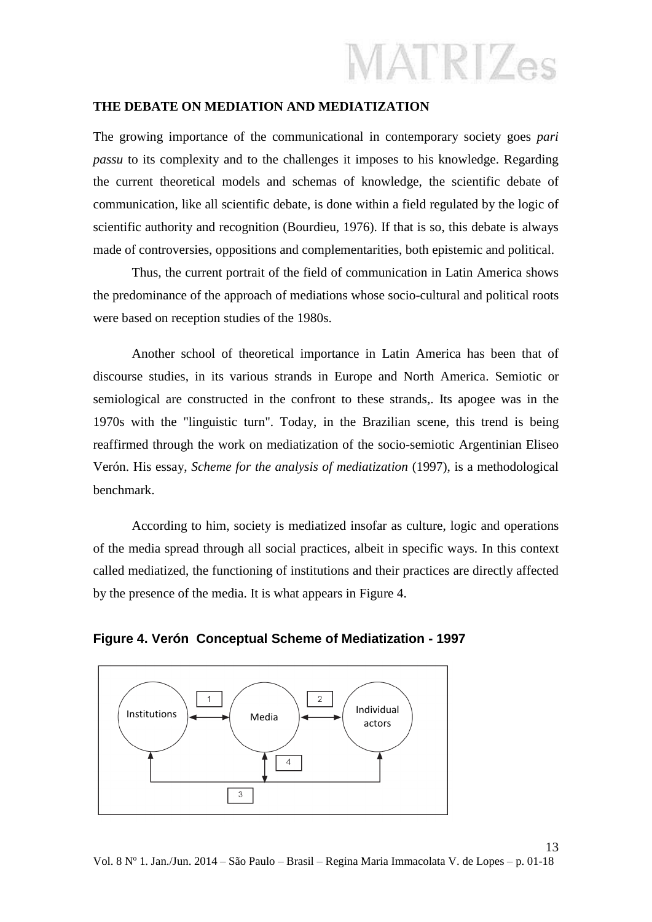#### **THE DEBATE ON MEDIATION AND MEDIATIZATION**

The growing importance of the communicational in contemporary society goes *pari passu* to its complexity and to the challenges it imposes to his knowledge. Regarding the current theoretical models and schemas of knowledge, the scientific debate of communication, like all scientific debate, is done within a field regulated by the logic of scientific authority and recognition (Bourdieu, 1976). If that is so, this debate is always made of controversies, oppositions and complementarities, both epistemic and political.

Thus, the current portrait of the field of communication in Latin America shows the predominance of the approach of mediations whose socio-cultural and political roots were based on reception studies of the 1980s.

Another school of theoretical importance in Latin America has been that of discourse studies, in its various strands in Europe and North America. Semiotic or semiological are constructed in the confront to these strands,. Its apogee was in the 1970s with the "linguistic turn". Today, in the Brazilian scene, this trend is being reaffirmed through the work on mediatization of the socio-semiotic Argentinian Eliseo Verón. His essay, *Scheme for the analysis of mediatization* (1997), is a methodological benchmark.

According to him, society is mediatized insofar as culture, logic and operations of the media spread through all social practices, albeit in specific ways. In this context called mediatized, the functioning of institutions and their practices are directly affected by the presence of the media. It is what appears in Figure 4.



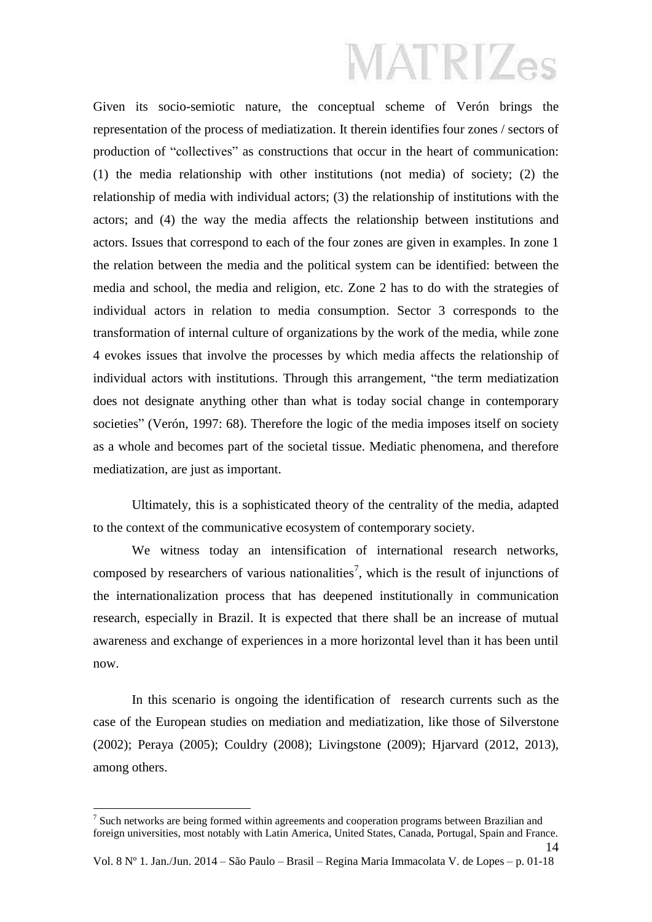Given its socio-semiotic nature, the conceptual scheme of Verón brings the representation of the process of mediatization. It therein identifies four zones / sectors of production of "collectives" as constructions that occur in the heart of communication: (1) the media relationship with other institutions (not media) of society; (2) the relationship of media with individual actors; (3) the relationship of institutions with the actors; and (4) the way the media affects the relationship between institutions and actors. Issues that correspond to each of the four zones are given in examples. In zone 1 the relation between the media and the political system can be identified: between the media and school, the media and religion, etc. Zone 2 has to do with the strategies of individual actors in relation to media consumption. Sector 3 corresponds to the transformation of internal culture of organizations by the work of the media, while zone 4 evokes issues that involve the processes by which media affects the relationship of individual actors with institutions. Through this arrangement, "the term mediatization does not designate anything other than what is today social change in contemporary societies" (Verón, 1997: 68). Therefore the logic of the media imposes itself on society as a whole and becomes part of the societal tissue. Mediatic phenomena, and therefore mediatization, are just as important.

Ultimately, this is a sophisticated theory of the centrality of the media, adapted to the context of the communicative ecosystem of contemporary society.

We witness today an intensification of international research networks, composed by researchers of various nationalities<sup>7</sup>, which is the result of injunctions of the internationalization process that has deepened institutionally in communication research, especially in Brazil. It is expected that there shall be an increase of mutual awareness and exchange of experiences in a more horizontal level than it has been until now.

In this scenario is ongoing the identification of research currents such as the case of the European studies on mediation and mediatization, like those of Silverstone (2002); Peraya (2005); Couldry (2008); Livingstone (2009); Hjarvard (2012, 2013), among others.

 $<sup>7</sup>$  Such networks are being formed within agreements and cooperation programs between Brazilian and</sup> foreign universities, most notably with Latin America, United States, Canada, Portugal, Spain and France.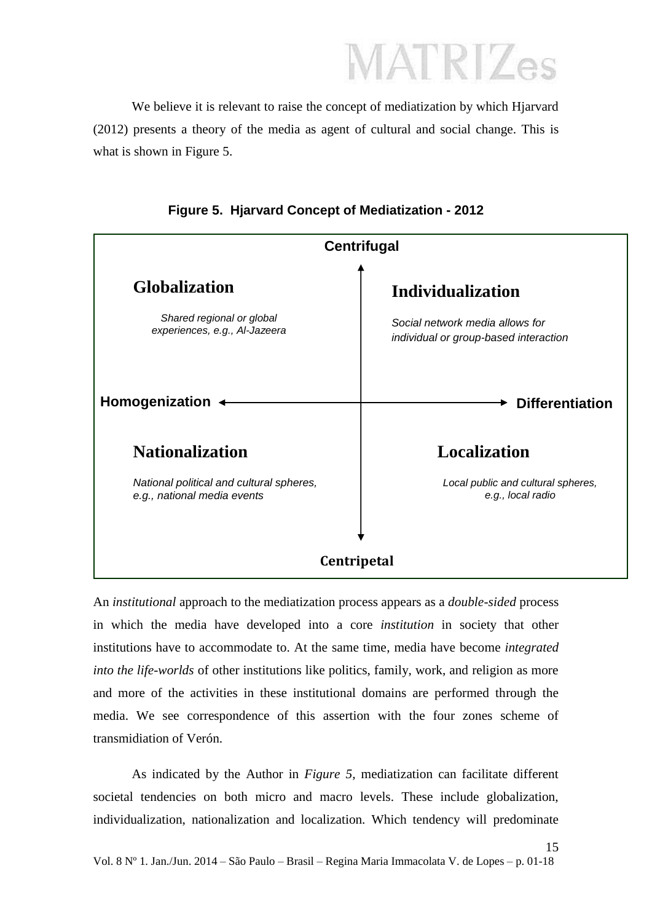We believe it is relevant to raise the concept of mediatization by which Hjarvard (2012) presents a theory of the media as agent of cultural and social change. This is what is shown in Figure 5.



**Figure 5. Hjarvard Concept of Mediatization - 2012**

An *institutional* approach to the mediatization process appears as a *double-sided* process in which the media have developed into a core *institution* in society that other institutions have to accommodate to. At the same time, media have become *integrated into the life-worlds* of other institutions like politics, family, work, and religion as more and more of the activities in these institutional domains are performed through the media. We see correspondence of this assertion with the four zones scheme of transmidiation of Verón.

As indicated by the Author in *Figure 5,* mediatization can facilitate different societal tendencies on both micro and macro levels. These include globalization, individualization, nationalization and localization. Which tendency will predominate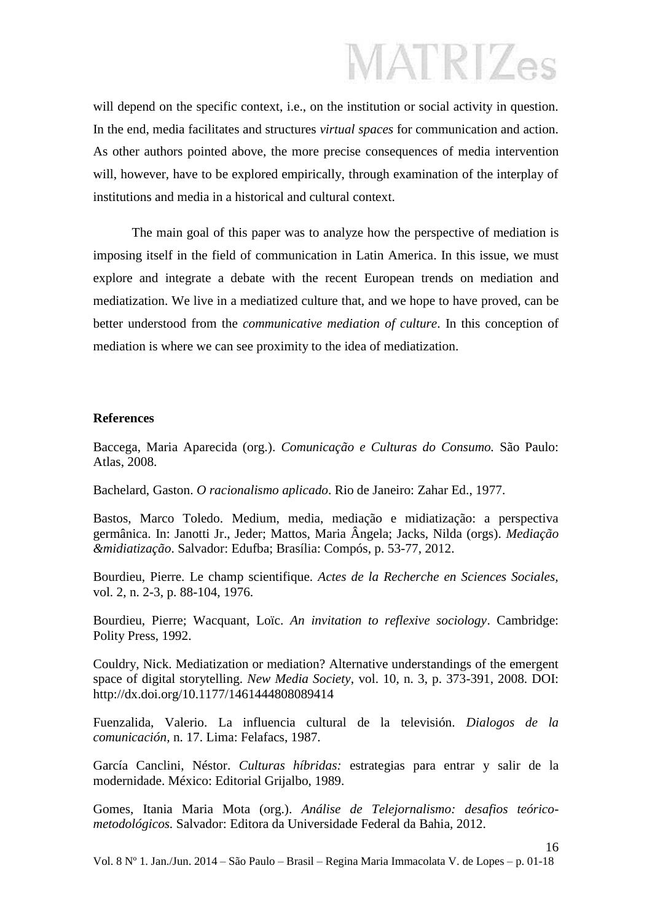will depend on the specific context, i.e., on the institution or social activity in question. In the end, media facilitates and structures *virtual spaces* for communication and action. As other authors pointed above, the more precise consequences of media intervention will, however, have to be explored empirically, through examination of the interplay of institutions and media in a historical and cultural context.

The main goal of this paper was to analyze how the perspective of mediation is imposing itself in the field of communication in Latin America. In this issue, we must explore and integrate a debate with the recent European trends on mediation and mediatization. We live in a mediatized culture that, and we hope to have proved, can be better understood from the *communicative mediation of culture*. In this conception of mediation is where we can see proximity to the idea of mediatization.

#### **References**

Baccega, Maria Aparecida (org.). *Comunicação e Culturas do Consumo.* São Paulo: Atlas, 2008.

Bachelard, Gaston. *O racionalismo aplicado*. Rio de Janeiro: Zahar Ed., 1977.

Bastos, Marco Toledo. Medium, media, mediação e midiatização: a perspectiva germânica. In: Janotti Jr., Jeder; Mattos, Maria Ângela; Jacks, Nilda (orgs). *Mediação &midiatização*. Salvador: Edufba; Brasília: Compós, p. 53-77, 2012.

Bourdieu, Pierre. Le champ scientifique. *Actes de la Recherche en Sciences Sociales,*  vol. 2, n. 2-3, p. 88-104, 1976.

Bourdieu, Pierre; Wacquant, Loïc. *An invitation to reflexive sociology*. Cambridge: Polity Press, 1992.

Couldry, Nick. Mediatization or mediation? Alternative understandings of the emergent space of digital storytelling. *New Media Society*, vol. 10, n. 3, p. 373-391, 2008. DOI: http://dx.doi.org/10.1177/1461444808089414

Fuenzalida, Valerio. La influencia cultural de la televisión. *Dialogos de la comunicación,* n. 17. Lima: Felafacs, 1987.

García Canclini, Néstor. *Culturas híbridas:* estrategias para entrar y salir de la modernidade. México: Editorial Grijalbo, 1989.

Gomes, Itania Maria Mota (org.). *Análise de Telejornalismo: desafios teóricometodológicos.* Salvador: Editora da Universidade Federal da Bahia, 2012.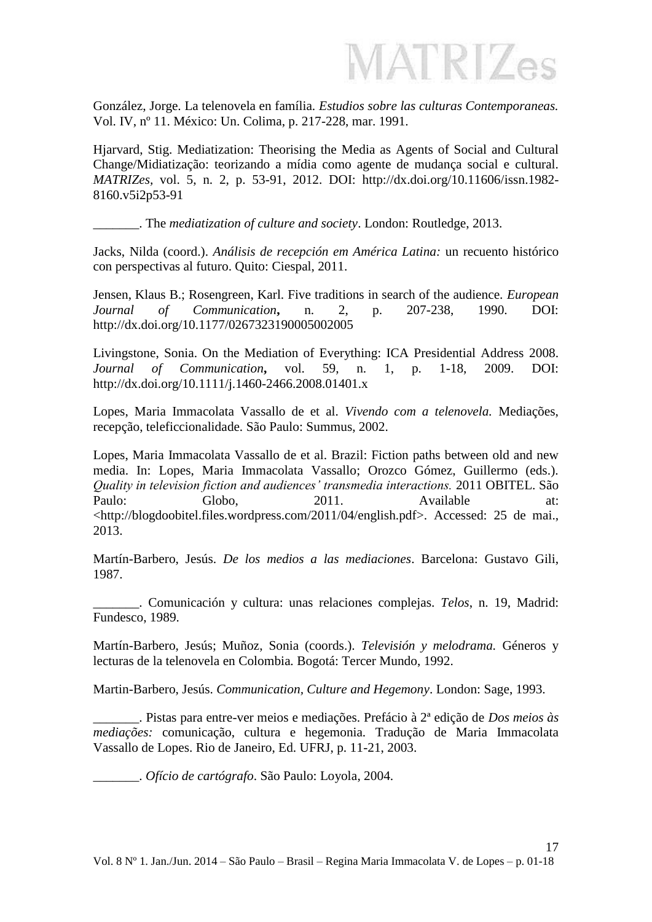**MATRIZes** 

González, Jorge. La telenovela en família. *Estudios sobre las culturas Contemporaneas.* Vol. IV, nº 11. México: Un. Colima, p. 217-228, mar. 1991.

Hjarvard, Stig. Mediatization: Theorising the Media as Agents of Social and Cultural Change/Midiatização: teorizando a mídia como agente de mudança social e cultural. *MATRIZes,* vol. 5, n. 2, p. 53-91, 2012. DOI: http://dx.doi.org/10.11606/issn.1982- 8160.v5i2p53-91

\_\_\_\_\_\_\_. The *mediatization of culture and society*. London: Routledge, 2013.

Jacks, Nilda (coord.). *Análisis de recepción em América Latina:* un recuento histórico con perspectivas al futuro. Quito: Ciespal, 2011.

Jensen, Klaus B.; Rosengreen, Karl. Five traditions in search of the audience. *European Journal of Communication***,** n. 2, p. 207-238, 1990. DOI: http://dx.doi.org/10.1177/0267323190005002005

Livingstone, Sonia. On the Mediation of Everything: ICA Presidential Address 2008. *Journal of Communication***,** vol. 59, n. 1, p. 1-18, 2009. DOI: http://dx.doi.org/10.1111/j.1460-2466.2008.01401.x

Lopes, Maria Immacolata Vassallo de et al. *Vivendo com a telenovela.* Mediações, recepção, teleficcionalidade*.* São Paulo: Summus, 2002.

Lopes, Maria Immacolata Vassallo de et al. Brazil: Fiction paths between old and new media. In: Lopes, Maria Immacolata Vassallo; Orozco Gómez, Guillermo (eds.). *Quality in television fiction and audiences' transmedia interactions.* 2011 OBITEL. São Paulo: Globo, 2011. Available at: <http://blogdoobitel.files.wordpress.com/2011/04/english.pdf>. Accessed: 25 de mai., 2013.

Martín-Barbero, Jesús. *De los medios a las mediaciones*. Barcelona: Gustavo Gili, 1987.

\_\_\_\_\_\_\_. Comunicación y cultura: unas relaciones complejas. *Telos*, n. 19, Madrid: Fundesco, 1989.

Martín-Barbero, Jesús; Muñoz, Sonia (coords.). *Televisión y melodrama.* Géneros y lecturas de la telenovela en Colombia*.* Bogotá: Tercer Mundo, 1992.

Martin-Barbero, Jesús. *Communication, Culture and Hegemony*. London: Sage, 1993.

\_\_\_\_\_\_\_. Pistas para entre-ver meios e mediações. Prefácio à 2ª edição de *Dos meios às mediações:* comunicação, cultura e hegemonia*.* Tradução de Maria Immacolata Vassallo de Lopes. Rio de Janeiro, Ed. UFRJ, p. 11-21, 2003.

\_\_\_\_\_\_\_. *Ofício de cartógrafo*. São Paulo: Loyola, 2004.